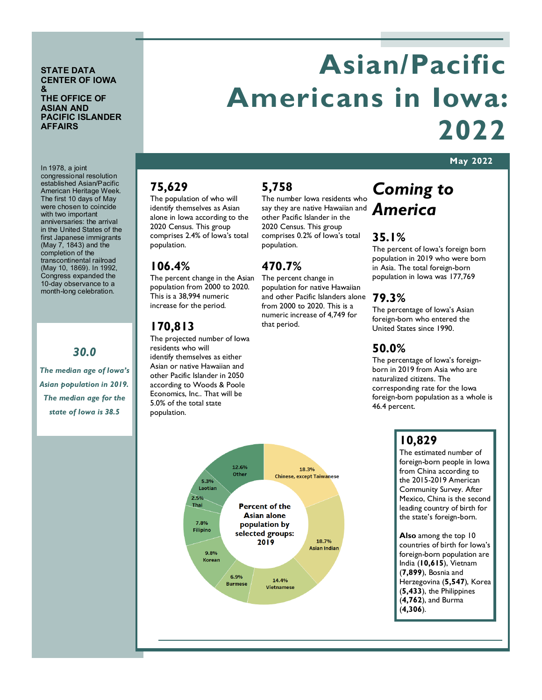#### **STATE DATA CENTER OF IOWA & THE OFFICE OF ASIAN AND PACIFIC ISLANDER AFFAIRS**

In 1978, a joint

# **Asian/Pacific Americans in Iowa: 2022**

#### **May 2022**

congressional resolution established Asian/Pacific

American Heritage Week. The first 10 days of May were chosen to coincide with two important anniversaries: the arrival in the United States of the first Japanese immigrants (May 7, 1843) and the completion of the transcontinental railroad (May 10, 1869). In 1992, Congress expanded the 10-day observance to a month-long celebration.

#### *30.0*

*The median age of Iowa's Asian population in 2019. The median age for the state of Iowa is 38.5*

#### **75,629**

The population of who will identify themselves as Asian alone in Iowa according to the 2020 Census. This group comprises 2.4% of Iowa's total population.

#### **106.4%**

The percent change in the Asian population from 2000 to 2020. This is a 38,994 numeric increase for the period.

#### **170,813**

The projected number of Iowa residents who will identify themselves as either Asian or native Hawaiian and other Pacific Islander in 2050 according to Woods & Poole Economics, Inc.. That will be 5.0% of the total state population.

#### **5,758**

say they are native Hawaiian and **America** The number Iowa residents who other Pacific Islander in the 2020 Census. This group comprises 0.2% of Iowa's total population.

#### **470.7%**

The percent change in population for native Hawaiian and other Pacific Islanders alone from 2000 to 2020. This is a numeric increase of 4,749 for that period.

# *Coming to*

#### **35.1%**

The percent of Iowa's foreign born population in 2019 who were born in Asia. The total foreign-born population in Iowa was 177,769

#### **79.3%**

The percentage of Iowa's Asian foreign-born who entered the United States since 1990.

#### **50.0%**

The percentage of Iowa's foreignborn in 2019 from Asia who are naturalized citizens. The corresponding rate for the Iowa foreign-born population as a whole is 46.4 percent.

#### **10,829**

The estimated number of foreign-born people in Iowa from China according to the 2015-2019 American Community Survey. After Mexico, China is the second leading country of birth for the state's foreign-born.

**Also** among the top 10 countries of birth for Iowa's foreign-born population are India (**10,615**), Vietnam (**7,899**), Bosnia and Herzegovina (**5,547**), Korea (**5,433**), the Philippines (**4,762**), and Burma (**4,306**).

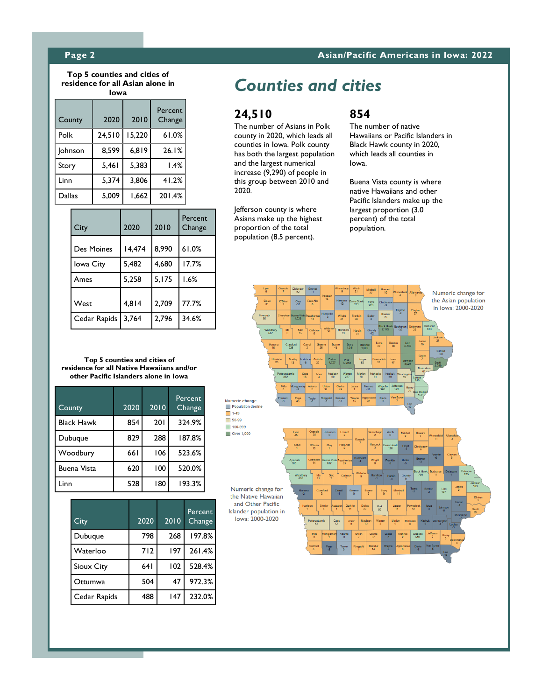#### **Page 2 Asian/Pacific Americans in Iowa: 2022**

**Top 5 counties and cities of residence for all Asian alone in Iowa**

| County         | 2020   | 2010   | Percent<br>Change |
|----------------|--------|--------|-------------------|
| Polk           | 24,510 | 15,220 | 61.0%             |
| <b>Johnson</b> | 8.599  | 6,819  | 26.1%             |
| Story          | 5,461  | 5,383  | 1.4%              |
| Linn           | 5,374  | 3,806  | 41.2%             |
| Dallas         | 5,009  | 1,662  | 201.4%            |

| City         | 2020   | 2010  | Percent<br>Change |
|--------------|--------|-------|-------------------|
| Des Moines   | 14,474 | 8,990 | 61.0%             |
| lowa City    | 5,482  | 4,680 | 17.7%             |
| Ames         | 5,258  | 5,175 | 1.6%              |
| West         | 4,814  | 2.709 | 77.7%             |
| Cedar Rapids | 3.764  | 2,796 | 34.6%             |

*Counties and cities*

#### **24,510**

The number of Asians in Polk county in 2020, which leads all counties in Iowa. Polk county has both the largest population and the largest numerical increase (9,290) of people in this group between 2010 and 2020.

Jefferson county is where Asians make up the highest proportion of the total population (8.5 percent).

#### **854**

The number of native Hawaiians or Pacific Islanders in Black Hawk county in 2020, which leads all counties in Iowa.

Buena Vista county is where native Hawaiians and other Pacific Islanders make up the largest proportion (3.0 percent) of the total population.



**Top 5 counties and cities of residence for all Native Hawaiians and/or other Pacific Islanders alone in Iowa**

| County             | 2020 | 2010 | Percent<br>Change |
|--------------------|------|------|-------------------|
| <b>Black Hawk</b>  | 854  | 201  | 324.9%            |
| Dubuque            | 829  | 288  | 187.8%            |
| Woodbury           | 661  | 106  | 523.6%            |
| <b>Buena Vista</b> | 620  | 100  | 520.0%            |
| l inn              | 528  | 180  | 193.3%            |

| City         | 2020 | 2010 | Percent<br>Change |
|--------------|------|------|-------------------|
| Dubuque      | 798  | 268  | 197.8%            |
| Waterloo     | 712  | 197  | 261.4%            |
| Sioux City   | 64 I | 102  | 528.4%            |
| Ottumwa      | 504  | 47   | 972.3%            |
| Cedar Rapids | 488  | 147  | 232.0%            |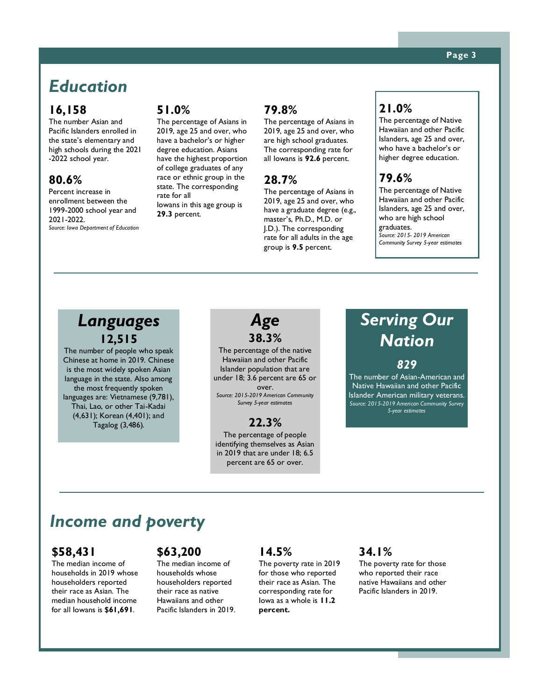## *Education*

#### **16,158**

The number Asian and Pacific Islanders enrolled in the state's elementary and high schools during the 2021 -2022 school year.

#### **80.6%**

Percent increase in enrollment between the 1999-2000 school year and 2021-2022. *Source: Iowa Department of Education*

#### **51.0%**

The percentage of Asians in 2019, age 25 and over, who have a bachelor's or higher degree education. Asians have the highest proportion of college graduates of any race or ethnic group in the state. The corresponding rate for all Iowans in this age group is **29.3** percent.

#### **79.8%**

The percentage of Asians in 2019, age 25 and over, who are high school graduates. The corresponding rate for all Iowans is **92.6** percent.

#### **28.7%**

The percentage of Asians in 2019, age 25 and over, who have a graduate degree (e.g., master's, Ph.D., M.D. or J.D.). The corresponding rate for all adults in the age group is **9.5** percent.

#### **21.0%**

The percentage of Native Hawaiian and other Pacific Islanders, age 25 and over, who have a bachelor's or higher degree education.

#### **79.6%**

The percentage of Native Hawaiian and other Pacific Islanders, age 25 and over, who are high school graduates. *Source: 2015- 2019 American Community Survey 5-year estimates*

#### **Languages Languages 12,515**

Chinese at home in 2019. Chinese Is the most which spoken Asian<br>language in the state. Also among anguage in the state: 7 as also<br>the most frequently spoken the most frequently spoken<br>| languages are: Vietnamese (9,781), Islander-owned firms be-(4,631); Korean (4,401); and  $T$ agalog (3,486). The number of people who speak is the most widely spoken Asian

years, with 2012 being the most current current

waii and other Pacific

*Age* **38.3%**

The percentage of the native Hawaiian and other Pacific Islander population that are under 18; 3.6 percent are 65 or over. *Source: 2015-2019 American Community Survey 5-year estimates*

#### **22.3%**

The percentage of people identifying themselves as Asian in 2019 that are under 18; 6.5 percent are 65 or over.

# *Serving Our Nation*

*829*

The number of Asian-American and Native Hawaiian and other Pacific Islander American military veterans. *Source: 2015-2019 American Community Survey 5-year estimates*

#### **4**,400 **Income and poverty**

#### 2012. **\$58,431**

dataset available.

**2.2%**

The median income of households in 2019 whose nousenoiders reported<br>their race as Asian. The cifeir race as Asian. The<br>median household income in Iowa in 2012. for all Iowans is **\$61,691**. householders reported

#### **\$63,200**

The median income of households whose householders reported their race as native Hawaiians and other Pacific Islanders in 2019.

#### **14.5%**

The poverty rate in 2019 for those who reported their race as Asian. The corresponding rate for Iowa as a whole is **11.2 percent.**

#### **34.1%**

The poverty rate for those who reported their race native Hawaiians and other Pacific Islanders in 2019.